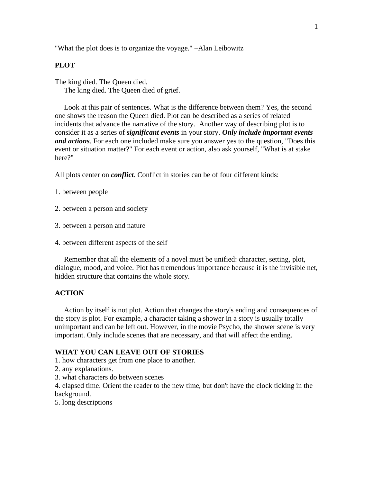"What the plot does is to organize the voyage." –Alan Leibowitz

### **PLOT**

The king died. The Queen died. The king died. The Queen died of grief.

 Look at this pair of sentences. What is the difference between them? Yes, the second one shows the reason the Queen died. Plot can be described as a series of related incidents that advance the narrative of the story. Another way of describing plot is to consider it as a series of *significant events* in your story. *Only include important events and actions*. For each one included make sure you answer yes to the question, "Does this event or situation matter?" For each event or action, also ask yourself, "What is at stake here?"

All plots center on *conflict*. Conflict in stories can be of four different kinds:

- 1. between people
- 2. between a person and society
- 3. between a person and nature
- 4. between different aspects of the self

 Remember that all the elements of a novel must be unified: character, setting, plot, dialogue, mood, and voice. Plot has tremendous importance because it is the invisible net, hidden structure that contains the whole story.

### **ACTION**

 Action by itself is not plot. Action that changes the story's ending and consequences of the story is plot. For example, a character taking a shower in a story is usually totally unimportant and can be left out. However, in the movie Psycho, the shower scene is very important. Only include scenes that are necessary, and that will affect the ending.

## **WHAT YOU CAN LEAVE OUT OF STORIES**

- 1. how characters get from one place to another.
- 2. any explanations.
- 3. what characters do between scenes

4. elapsed time. Orient the reader to the new time, but don't have the clock ticking in the background.

5. long descriptions